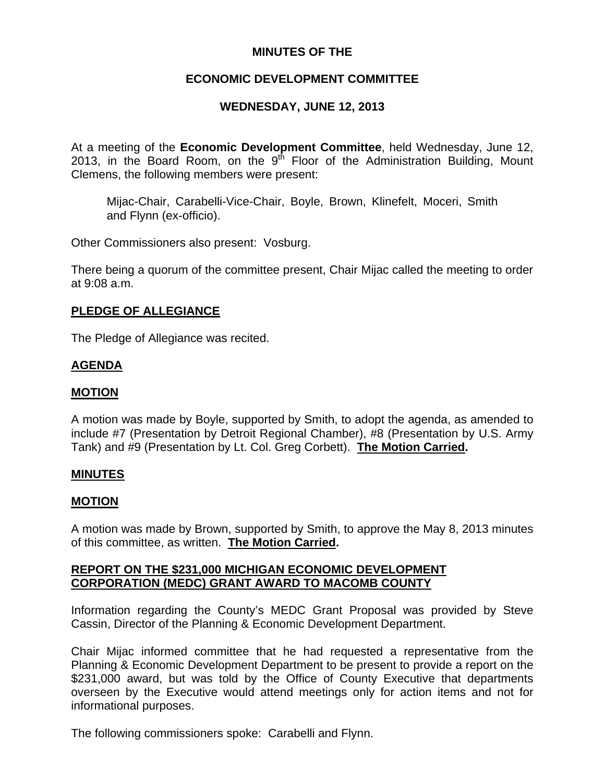### **MINUTES OF THE**

## **ECONOMIC DEVELOPMENT COMMITTEE**

# **WEDNESDAY, JUNE 12, 2013**

At a meeting of the **Economic Development Committee**, held Wednesday, June 12, 2013, in the Board Room, on the 9<sup>th</sup> Floor of the Administration Building, Mount Clemens, the following members were present:

Mijac-Chair, Carabelli-Vice-Chair, Boyle, Brown, Klinefelt, Moceri, Smith and Flynn (ex-officio).

Other Commissioners also present: Vosburg.

There being a quorum of the committee present, Chair Mijac called the meeting to order at 9:08 a.m.

#### **PLEDGE OF ALLEGIANCE**

The Pledge of Allegiance was recited.

### **AGENDA**

### **MOTION**

A motion was made by Boyle, supported by Smith, to adopt the agenda, as amended to include #7 (Presentation by Detroit Regional Chamber), #8 (Presentation by U.S. Army Tank) and #9 (Presentation by Lt. Col. Greg Corbett). **The Motion Carried.** 

#### **MINUTES**

### **MOTION**

A motion was made by Brown, supported by Smith, to approve the May 8, 2013 minutes of this committee, as written. **The Motion Carried.** 

#### **REPORT ON THE \$231,000 MICHIGAN ECONOMIC DEVELOPMENT CORPORATION (MEDC) GRANT AWARD TO MACOMB COUNTY**

Information regarding the County's MEDC Grant Proposal was provided by Steve Cassin, Director of the Planning & Economic Development Department.

Chair Mijac informed committee that he had requested a representative from the Planning & Economic Development Department to be present to provide a report on the \$231,000 award, but was told by the Office of County Executive that departments overseen by the Executive would attend meetings only for action items and not for informational purposes.

The following commissioners spoke: Carabelli and Flynn.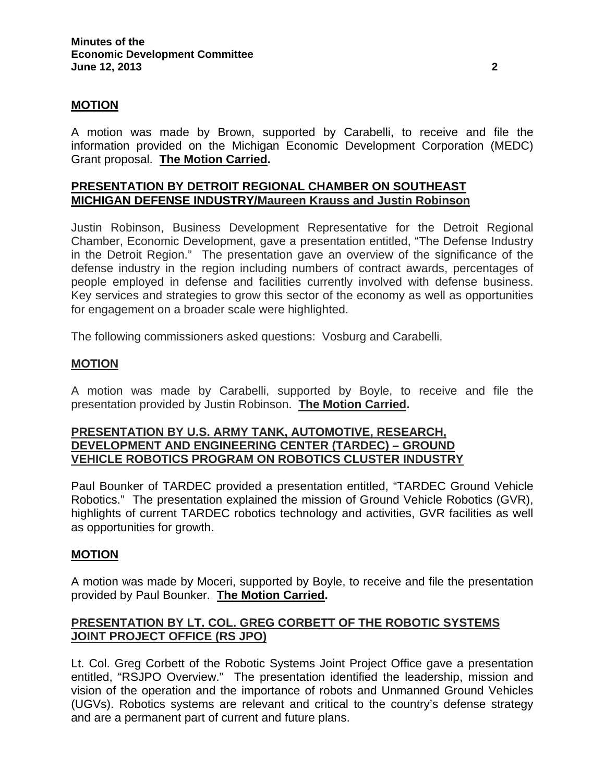#### **MOTION**

A motion was made by Brown, supported by Carabelli, to receive and file the information provided on the Michigan Economic Development Corporation (MEDC) Grant proposal. **The Motion Carried.** 

#### **PRESENTATION BY DETROIT REGIONAL CHAMBER ON SOUTHEAST MICHIGAN DEFENSE INDUSTRY/Maureen Krauss and Justin Robinson**

Justin Robinson, Business Development Representative for the Detroit Regional Chamber, Economic Development, gave a presentation entitled, "The Defense Industry in the Detroit Region." The presentation gave an overview of the significance of the defense industry in the region including numbers of contract awards, percentages of people employed in defense and facilities currently involved with defense business. Key services and strategies to grow this sector of the economy as well as opportunities for engagement on a broader scale were highlighted.

The following commissioners asked questions: Vosburg and Carabelli.

#### **MOTION**

A motion was made by Carabelli, supported by Boyle, to receive and file the presentation provided by Justin Robinson. **The Motion Carried.** 

#### **PRESENTATION BY U.S. ARMY TANK, AUTOMOTIVE, RESEARCH, DEVELOPMENT AND ENGINEERING CENTER (TARDEC) – GROUND VEHICLE ROBOTICS PROGRAM ON ROBOTICS CLUSTER INDUSTRY**

Paul Bounker of TARDEC provided a presentation entitled, "TARDEC Ground Vehicle Robotics." The presentation explained the mission of Ground Vehicle Robotics (GVR), highlights of current TARDEC robotics technology and activities, GVR facilities as well as opportunities for growth.

#### **MOTION**

A motion was made by Moceri, supported by Boyle, to receive and file the presentation provided by Paul Bounker. **The Motion Carried.** 

### **PRESENTATION BY LT. COL. GREG CORBETT OF THE ROBOTIC SYSTEMS JOINT PROJECT OFFICE (RS JPO)**

Lt. Col. Greg Corbett of the Robotic Systems Joint Project Office gave a presentation entitled, "RSJPO Overview." The presentation identified the leadership, mission and vision of the operation and the importance of robots and Unmanned Ground Vehicles (UGVs). Robotics systems are relevant and critical to the country's defense strategy and are a permanent part of current and future plans.